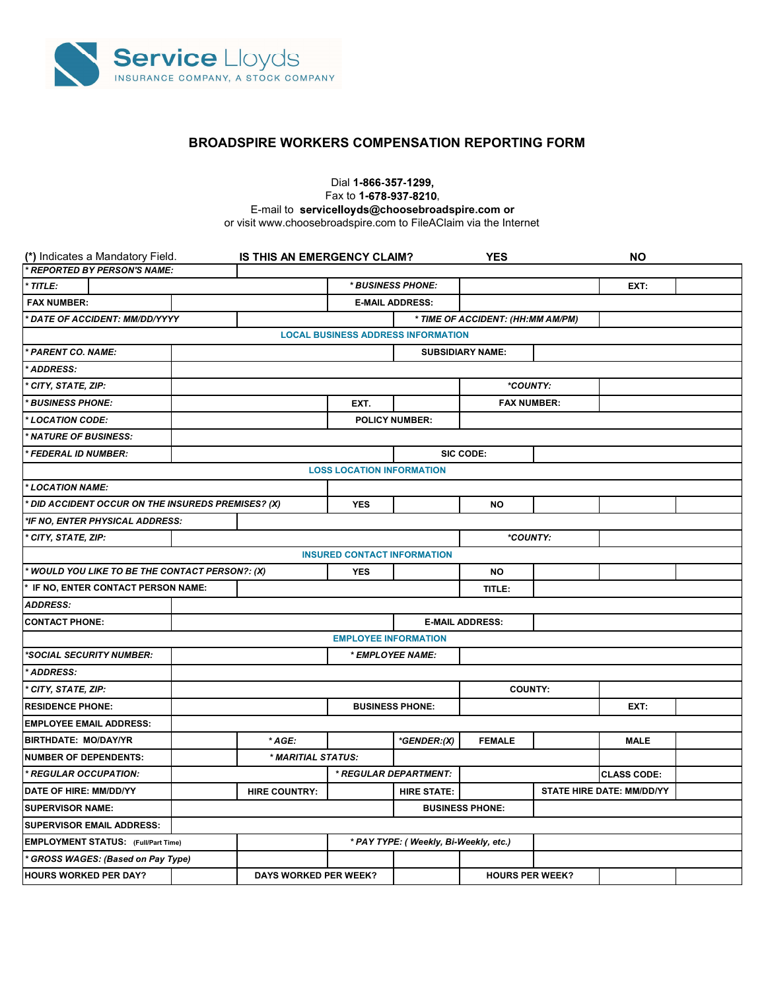

## BROADSPIRE WORKERS COMPENSATION REPORTING FORM

Dial 1-866-357-1299, Fax to 1-678-937-8210, E-mail to servicelloyds@choosebroadspire.com or or visit www.choosebroadspire.com to FileAClaim via the Internet

| (*) Indicates a Mandatory Field.                        | IS THIS AN EMERGENCY CLAIM? |                                       |                                           | <b>YES</b>                        |  | <b>NO</b>                 |  |
|---------------------------------------------------------|-----------------------------|---------------------------------------|-------------------------------------------|-----------------------------------|--|---------------------------|--|
| * REPORTED BY PERSON'S NAME:                            |                             |                                       |                                           |                                   |  |                           |  |
| * TITLE:                                                |                             | * BUSINESS PHONE:                     |                                           |                                   |  | EXT:                      |  |
| <b>FAX NUMBER:</b>                                      |                             |                                       | <b>E-MAIL ADDRESS:</b>                    |                                   |  |                           |  |
| <b>DATE OF ACCIDENT: MM/DD/YYYY</b>                     |                             |                                       |                                           | * TIME OF ACCIDENT: (HH:MM AM/PM) |  |                           |  |
|                                                         |                             |                                       | <b>LOCAL BUSINESS ADDRESS INFORMATION</b> |                                   |  |                           |  |
| * PARENT CO. NAME:                                      |                             |                                       |                                           | <b>SUBSIDIARY NAME:</b>           |  |                           |  |
| ADDRESS:                                                |                             |                                       |                                           |                                   |  |                           |  |
| CITY, STATE, ZIP:                                       |                             |                                       |                                           | *COUNTY:                          |  |                           |  |
| <b>BUSINESS PHONE:</b>                                  |                             | EXT.                                  |                                           | <b>FAX NUMBER:</b>                |  |                           |  |
| LOCATION CODE:                                          | <b>POLICY NUMBER:</b>       |                                       |                                           |                                   |  |                           |  |
| <b>NATURE OF BUSINESS:</b>                              |                             |                                       |                                           |                                   |  |                           |  |
| <b>FEDERAL ID NUMBER:</b>                               |                             | SIC CODE:                             |                                           |                                   |  |                           |  |
|                                                         |                             | <b>LOSS LOCATION INFORMATION</b>      |                                           |                                   |  |                           |  |
| * LOCATION NAME:                                        |                             |                                       |                                           |                                   |  |                           |  |
| <b>DID ACCIDENT OCCUR ON THE INSUREDS PREMISES? (X)</b> |                             | <b>YES</b>                            |                                           | <b>NO</b>                         |  |                           |  |
| *IF NO, ENTER PHYSICAL ADDRESS:                         |                             |                                       |                                           |                                   |  |                           |  |
| CITY, STATE, ZIP:                                       |                             |                                       |                                           | *COUNTY:                          |  |                           |  |
|                                                         |                             | <b>INSURED CONTACT INFORMATION</b>    |                                           |                                   |  |                           |  |
| * WOULD YOU LIKE TO BE THE CONTACT PERSON?: (X)         |                             | <b>YES</b>                            |                                           | NO                                |  |                           |  |
| IF NO, ENTER CONTACT PERSON NAME:                       |                             |                                       |                                           | TITLE:                            |  |                           |  |
| <b>ADDRESS:</b>                                         |                             |                                       |                                           |                                   |  |                           |  |
| <b>CONTACT PHONE:</b>                                   | <b>E-MAIL ADDRESS:</b>      |                                       |                                           |                                   |  |                           |  |
|                                                         |                             | <b>EMPLOYEE INFORMATION</b>           |                                           |                                   |  |                           |  |
| *SOCIAL SECURITY NUMBER:                                |                             | * EMPLOYEE NAME:                      |                                           |                                   |  |                           |  |
| ADDRESS:                                                |                             |                                       |                                           |                                   |  |                           |  |
| CITY, STATE, ZIP:                                       |                             |                                       |                                           | <b>COUNTY:</b>                    |  |                           |  |
| <b>RESIDENCE PHONE:</b>                                 |                             | <b>BUSINESS PHONE:</b>                |                                           |                                   |  | EXT:                      |  |
| <b>EMPLOYEE EMAIL ADDRESS:</b>                          |                             |                                       |                                           |                                   |  |                           |  |
| <b>BIRTHDATE: MO/DAY/YR</b>                             | * AGE:                      |                                       | *GENDER:(X)                               | <b>FEMALE</b>                     |  | <b>MALE</b>               |  |
| <b>NUMBER OF DEPENDENTS:</b>                            | * MARITIAL STATUS:          |                                       |                                           |                                   |  |                           |  |
| * REGULAR OCCUPATION:                                   |                             |                                       | * REGULAR DEPARTMENT:                     |                                   |  | <b>CLASS CODE:</b>        |  |
| DATE OF HIRE: MM/DD/YY                                  | <b>HIRE COUNTRY:</b>        |                                       | <b>HIRE STATE:</b>                        |                                   |  | STATE HIRE DATE: MM/DD/YY |  |
| <b>SUPERVISOR NAME:</b>                                 |                             | <b>BUSINESS PHONE:</b>                |                                           |                                   |  |                           |  |
| <b>SUPERVISOR EMAIL ADDRESS:</b>                        |                             |                                       |                                           |                                   |  |                           |  |
| <b>EMPLOYMENT STATUS:</b> (Full/Part Time)              |                             | * PAY TYPE: (Weekly, Bi-Weekly, etc.) |                                           |                                   |  |                           |  |
|                                                         |                             |                                       |                                           |                                   |  |                           |  |
| GROSS WAGES: (Based on Pay Type)                        |                             |                                       |                                           |                                   |  |                           |  |
|                                                         |                             |                                       |                                           |                                   |  |                           |  |